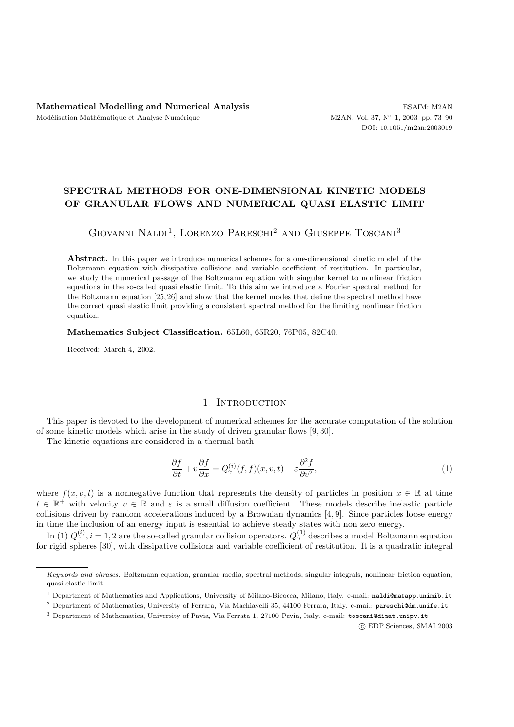# **SPECTRAL METHODS FOR ONE-DIMENSIONAL KINETIC MODELS OF GRANULAR FLOWS AND NUMERICAL QUASI ELASTIC LIMIT**

GIOVANNI NALDI<sup>1</sup>, LORENZO PARESCHI<sup>2</sup> AND GIUSEPPE TOSCANI<sup>3</sup>

**Abstract.** In this paper we introduce numerical schemes for a one-dimensional kinetic model of the Boltzmann equation with dissipative collisions and variable coefficient of restitution. In particular, we study the numerical passage of the Boltzmann equation with singular kernel to nonlinear friction equations in the so-called quasi elastic limit. To this aim we introduce a Fourier spectral method for the Boltzmann equation [25, 26] and show that the kernel modes that define the spectral method have the correct quasi elastic limit providing a consistent spectral method for the limiting nonlinear friction equation.

**Mathematics Subject Classification.** 65L60, 65R20, 76P05, 82C40.

Received: March 4, 2002.

## 1. INTRODUCTION

This paper is devoted to the development of numerical schemes for the accurate computation of the solution of some kinetic models which arise in the study of driven granular flows [9, 30].

The kinetic equations are considered in a thermal bath

$$
\frac{\partial f}{\partial t} + v \frac{\partial f}{\partial x} = Q_{\gamma}^{(i)}(f, f)(x, v, t) + \varepsilon \frac{\partial^2 f}{\partial v^2},\tag{1}
$$

where  $f(x, v, t)$  is a nonnegative function that represents the density of particles in position  $x \in \mathbb{R}$  at time  $t \in \mathbb{R}^+$  with velocity  $v \in \mathbb{R}$  and  $\varepsilon$  is a small diffusion coefficient. These models describe inelastic particle collisions driven by random accelerations induced by a Brownian dynamics [4, 9]. Since particles loose energy in time the inclusion of an energy input is essential to achieve steady states with non zero energy.

In (1)  $Q^{(i)}_\gamma, i = 1, 2$  are the so-called granular collision operators.  $Q^{(1)}_\gamma$  describes a model Boltzmann equation for rigid spheres [30], with dissipative collisions and variable coefficient of restitution. It is a quadratic integral

c EDP Sciences, SMAI 2003

*Keywords and phrases.* Boltzmann equation, granular media, spectral methods, singular integrals, nonlinear friction equation, quasi elastic limit.

<sup>1</sup> Department of Mathematics and Applications, University of Milano-Bicocca, Milano, Italy. e-mail: naldi@matapp.unimib.it

<sup>2</sup> Department of Mathematics, University of Ferrara, Via Machiavelli 35, 44100 Ferrara, Italy. e-mail: pareschi@dm.unife.it

<sup>3</sup> Department of Mathematics, University of Pavia, Via Ferrata 1, 27100 Pavia, Italy. e-mail: toscani@dimat.unipv.it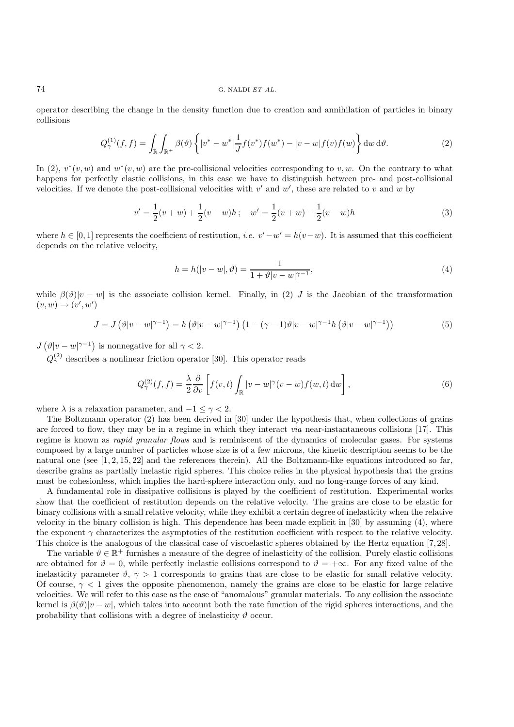#### 74 G. NALDI *ET AL.*

operator describing the change in the density function due to creation and annihilation of particles in binary collisions

$$
Q_{\gamma}^{(1)}(f,f) = \int_{\mathbb{R}} \int_{\mathbb{R}^{+}} \beta(\vartheta) \left\{ |v^{*} - w^{*}| \frac{1}{J} f(v^{*}) f(w^{*}) - |v - w| f(v) f(w) \right\} dw d\vartheta.
$$
 (2)

In (2),  $v^*(v, w)$  and  $w^*(v, w)$  are the pre-collisional velocities corresponding to v, w. On the contrary to what happens for perfectly elastic collisions, in this case we have to distinguish between pre- and post-collisional velocities. If we denote the post-collisional velocities with  $v'$  and  $w'$ , these are related to v and w by

$$
v' = \frac{1}{2}(v+w) + \frac{1}{2}(v-w)h; \quad w' = \frac{1}{2}(v+w) - \frac{1}{2}(v-w)h
$$
\n(3)

where  $h \in [0,1]$  represents the coefficient of restitution, *i.e.*  $v'-w'=h(v-w)$ . It is assumed that this coefficient depends on the relative velocity,

$$
h = h(|v - w|, \vartheta) = \frac{1}{1 + \vartheta |v - w|^{\gamma - 1}},
$$
\n(4)

while  $\beta(\vartheta)|v-w|$  is the associate collision kernel. Finally, in (2) J is the Jacobian of the transformation  $(v, w) \rightarrow (v', w')$ 

$$
J = J\left(\vartheta|v - w|^{\gamma - 1}\right) = h\left(\vartheta|v - w|^{\gamma - 1}\right)\left(1 - (\gamma - 1)\vartheta|v - w|^{\gamma - 1}h\left(\vartheta|v - w|^{\gamma - 1}\right)\right) \tag{5}
$$

 $J(\vartheta|v-w|^{\gamma-1})$  is nonnegative for all  $\gamma < 2$ .

 $Q_{\gamma}^{(2)}$  describes a nonlinear friction operator [30]. This operator reads

$$
Q_{\gamma}^{(2)}(f,f) = \frac{\lambda}{2} \frac{\partial}{\partial v} \left[ f(v,t) \int_{\mathbb{R}} |v - w|^{\gamma} (v - w) f(w,t) \, dw \right],\tag{6}
$$

where  $\lambda$  is a relaxation parameter, and  $-1 \leq \gamma < 2$ .

The Boltzmann operator (2) has been derived in [30] under the hypothesis that, when collections of grains are forced to flow, they may be in a regime in which they interact *via* near-instantaneous collisions [17]. This regime is known as *rapid granular flows* and is reminiscent of the dynamics of molecular gases. For systems composed by a large number of particles whose size is of a few microns, the kinetic description seems to be the natural one (see [1, 2, 15, 22] and the references therein). All the Boltzmann-like equations introduced so far, describe grains as partially inelastic rigid spheres. This choice relies in the physical hypothesis that the grains must be cohesionless, which implies the hard-sphere interaction only, and no long-range forces of any kind.

A fundamental role in dissipative collisions is played by the coefficient of restitution. Experimental works show that the coefficient of restitution depends on the relative velocity. The grains are close to be elastic for binary collisions with a small relative velocity, while they exhibit a certain degree of inelasticity when the relative velocity in the binary collision is high. This dependence has been made explicit in [30] by assuming (4), where the exponent  $\gamma$  characterizes the asymptotics of the restitution coefficient with respect to the relative velocity. This choice is the analogous of the classical case of viscoelastic spheres obtained by the Hertz equation [7, 28].

The variable  $\vartheta \in \mathbb{R}^+$  furnishes a measure of the degree of inelasticity of the collision. Purely elastic collisions are obtained for  $\vartheta = 0$ , while perfectly inelastic collisions correspond to  $\vartheta = +\infty$ . For any fixed value of the inelasticity parameter  $\vartheta$ ,  $\gamma > 1$  corresponds to grains that are close to be elastic for small relative velocity. Of course,  $\gamma$  < 1 gives the opposite phenomenon, namely the grains are close to be elastic for large relative velocities. We will refer to this case as the case of "anomalous" granular materials. To any collision the associate kernel is  $\beta(\vartheta)|v-w|$ , which takes into account both the rate function of the rigid spheres interactions, and the probability that collisions with a degree of inelasticity  $\vartheta$  occur.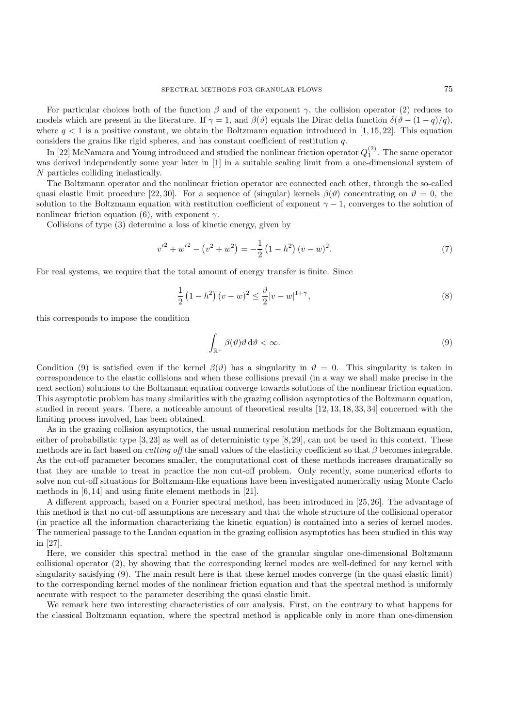For particular choices both of the function  $\beta$  and of the exponent  $\gamma$ , the collision operator (2) reduces to models which are present in the literature. If  $\gamma = 1$ , and  $\beta(\vartheta)$  equals the Dirac delta function  $\delta(\vartheta - (1 - q)/q)$ , where  $q < 1$  is a positive constant, we obtain the Boltzmann equation introduced in [1, 15, 22]. This equation considers the grains like rigid spheres, and has constant coefficient of restitution q.

In [22] McNamara and Young introduced and studied the nonlinear friction operator  $Q_1^{(2)}$ . The same operator was derived independently some year later in [1] in a suitable scaling limit from a one-dimensional system of N particles colliding inelastically.

The Boltzmann operator and the nonlinear friction operator are connected each other, through the so-called quasi elastic limit procedure [22, 30]. For a sequence of (singular) kernels  $\beta(\vartheta)$  concentrating on  $\vartheta = 0$ , the solution to the Boltzmann equation with restitution coefficient of exponent  $\gamma - 1$ , converges to the solution of nonlinear friction equation (6), with exponent  $\gamma$ .

Collisions of type (3) determine a loss of kinetic energy, given by

$$
{v'}^{2} + {w'}^{2} - (v^{2} + w^{2}) = -\frac{1}{2} (1 - h^{2}) (v - w)^{2}.
$$
 (7)

For real systems, we require that the total amount of energy transfer is finite. Since

$$
\frac{1}{2} (1 - h^2) (v - w)^2 \le \frac{\vartheta}{2} |v - w|^{1 + \gamma}, \tag{8}
$$

this corresponds to impose the condition

$$
\int_{\mathbb{R}^+} \beta(\vartheta)\vartheta \,d\vartheta < \infty. \tag{9}
$$

Condition (9) is satisfied even if the kernel  $\beta(\vartheta)$  has a singularity in  $\vartheta = 0$ . This singularity is taken in correspondence to the elastic collisions and when these collisions prevail (in a way we shall make precise in the next section) solutions to the Boltzmann equation converge towards solutions of the nonlinear friction equation. This asymptotic problem has many similarities with the grazing collision asymptotics of the Boltzmann equation, studied in recent years. There, a noticeable amount of theoretical results [12, 13, 18, 33, 34] concerned with the limiting process involved, has been obtained.

As in the grazing collision asymptotics, the usual numerical resolution methods for the Boltzmann equation, either of probabilistic type [3, 23] as well as of deterministic type [8, 29], can not be used in this context. These methods are in fact based on *cutting off* the small values of the elasticity coefficient so that β becomes integrable. As the cut-off parameter becomes smaller, the computational cost of these methods increases dramatically so that they are unable to treat in practice the non cut-off problem. Only recently, some numerical efforts to solve non cut-off situations for Boltzmann-like equations have been investigated numerically using Monte Carlo methods in [6, 14] and using finite element methods in [21].

A different approach, based on a Fourier spectral method, has been introduced in [25, 26]. The advantage of this method is that no cut-off assumptions are necessary and that the whole structure of the collisional operator (in practice all the information characterizing the kinetic equation) is contained into a series of kernel modes. The numerical passage to the Landau equation in the grazing collision asymptotics has been studied in this way in [27].

Here, we consider this spectral method in the case of the granular singular one-dimensional Boltzmann collisional operator (2), by showing that the corresponding kernel modes are well-defined for any kernel with singularity satisfying (9). The main result here is that these kernel modes converge (in the quasi elastic limit) to the corresponding kernel modes of the nonlinear friction equation and that the spectral method is uniformly accurate with respect to the parameter describing the quasi elastic limit.

We remark here two interesting characteristics of our analysis. First, on the contrary to what happens for the classical Boltzmann equation, where the spectral method is applicable only in more than one-dimension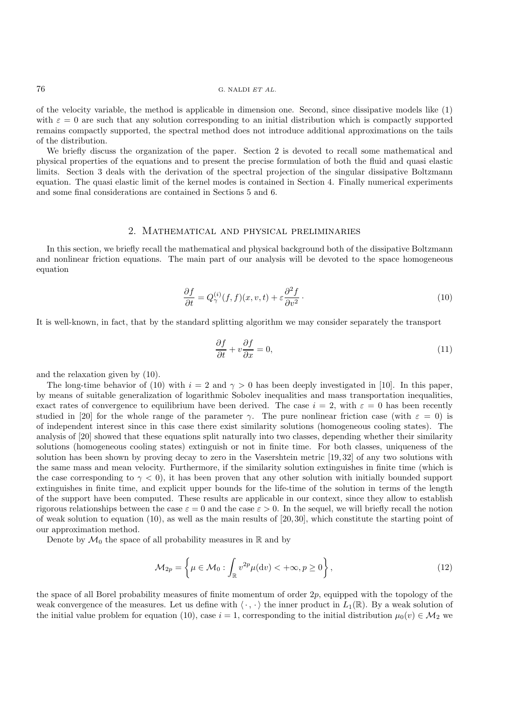of the velocity variable, the method is applicable in dimension one. Second, since dissipative models like (1) with  $\varepsilon = 0$  are such that any solution corresponding to an initial distribution which is compactly supported remains compactly supported, the spectral method does not introduce additional approximations on the tails of the distribution.

We briefly discuss the organization of the paper. Section 2 is devoted to recall some mathematical and physical properties of the equations and to present the precise formulation of both the fluid and quasi elastic limits. Section 3 deals with the derivation of the spectral projection of the singular dissipative Boltzmann equation. The quasi elastic limit of the kernel modes is contained in Section 4. Finally numerical experiments and some final considerations are contained in Sections 5 and 6.

## 2. Mathematical and physical preliminaries

In this section, we briefly recall the mathematical and physical background both of the dissipative Boltzmann and nonlinear friction equations. The main part of our analysis will be devoted to the space homogeneous equation

$$
\frac{\partial f}{\partial t} = Q_{\gamma}^{(i)}(f, f)(x, v, t) + \varepsilon \frac{\partial^2 f}{\partial v^2}.
$$
\n(10)

It is well-known, in fact, that by the standard splitting algorithm we may consider separately the transport

$$
\frac{\partial f}{\partial t} + v \frac{\partial f}{\partial x} = 0,\tag{11}
$$

and the relaxation given by (10).

The long-time behavior of (10) with  $i = 2$  and  $\gamma > 0$  has been deeply investigated in [10]. In this paper, by means of suitable generalization of logarithmic Sobolev inequalities and mass transportation inequalities, exact rates of convergence to equilibrium have been derived. The case  $i = 2$ , with  $\varepsilon = 0$  has been recently studied in [20] for the whole range of the parameter γ. The pure nonlinear friction case (with  $\varepsilon = 0$ ) is of independent interest since in this case there exist similarity solutions (homogeneous cooling states). The analysis of [20] showed that these equations split naturally into two classes, depending whether their similarity solutions (homogeneous cooling states) extinguish or not in finite time. For both classes, uniqueness of the solution has been shown by proving decay to zero in the Vasershtein metric [19, 32] of any two solutions with the same mass and mean velocity. Furthermore, if the similarity solution extinguishes in finite time (which is the case corresponding to  $\gamma < 0$ , it has been proven that any other solution with initially bounded support extinguishes in finite time, and explicit upper bounds for the life-time of the solution in terms of the length of the support have been computed. These results are applicable in our context, since they allow to establish rigorous relationships between the case  $\varepsilon = 0$  and the case  $\varepsilon > 0$ . In the sequel, we will briefly recall the notion of weak solution to equation  $(10)$ , as well as the main results of  $[20, 30]$ , which constitute the starting point of our approximation method.

Denote by  $\mathcal{M}_0$  the space of all probability measures in  $\mathbb R$  and by

$$
\mathcal{M}_{2p} = \left\{ \mu \in \mathcal{M}_0 : \int_{\mathbb{R}} v^{2p} \mu(\mathrm{d}v) < +\infty, p \ge 0 \right\},\tag{12}
$$

the space of all Borel probability measures of finite momentum of order 2p, equipped with the topology of the weak convergence of the measures. Let us define with  $\langle \cdot, \cdot \rangle$  the inner product in  $L_1(\mathbb{R})$ . By a weak solution of the initial value problem for equation (10), case  $i = 1$ , corresponding to the initial distribution  $\mu_0(v) \in M_2$  we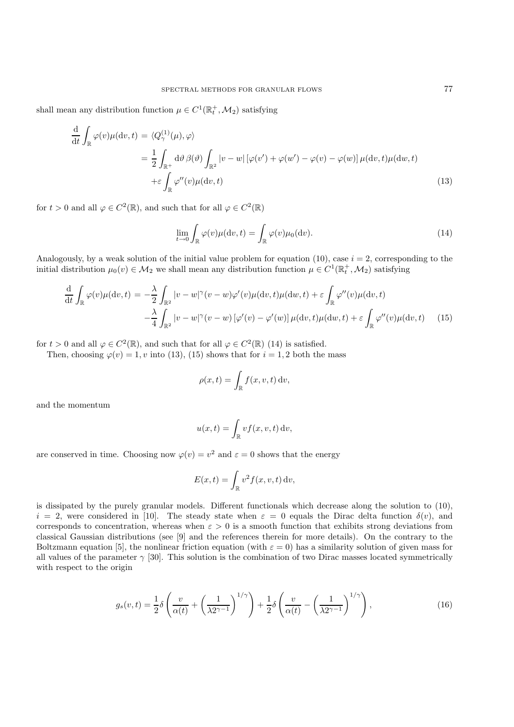shall mean any distribution function  $\mu \in C^1(\mathbb{R}^+_t, \mathcal{M}_2)$  satisfying

$$
\frac{d}{dt} \int_{\mathbb{R}} \varphi(v) \mu(dv, t) = \langle Q_{\gamma}^{(1)}(\mu), \varphi \rangle
$$
\n
$$
= \frac{1}{2} \int_{\mathbb{R}^{+}} d\vartheta \, \beta(\vartheta) \int_{\mathbb{R}^{2}} |v - w| \left[ \varphi(v') + \varphi(w') - \varphi(v) - \varphi(w) \right] \mu(dv, t) \mu(dw, t)
$$
\n
$$
+ \varepsilon \int_{\mathbb{R}} \varphi''(v) \mu(dw, t)
$$
\n(13)

for  $t > 0$  and all  $\varphi \in C^2(\mathbb{R})$ , and such that for all  $\varphi \in C^2(\mathbb{R})$ 

$$
\lim_{t \to 0} \int_{\mathbb{R}} \varphi(v) \mu(\mathrm{d}v, t) = \int_{\mathbb{R}} \varphi(v) \mu_0(\mathrm{d}v). \tag{14}
$$

Analogously, by a weak solution of the initial value problem for equation (10), case  $i = 2$ , corresponding to the initial distribution  $\mu_0(v) \in \mathcal{M}_2$  we shall mean any distribution function  $\mu \in C^1(\mathbb{R}^+_t, \mathcal{M}_2)$  satisfying

$$
\frac{d}{dt} \int_{\mathbb{R}} \varphi(v) \mu(dv, t) = -\frac{\lambda}{2} \int_{\mathbb{R}^2} |v - w|^\gamma (v - w) \varphi'(v) \mu(dv, t) \mu(dw, t) + \varepsilon \int_{\mathbb{R}} \varphi''(v) \mu(dv, t) \n- \frac{\lambda}{4} \int_{\mathbb{R}^2} |v - w|^\gamma (v - w) [\varphi'(v) - \varphi'(w)] \mu(dv, t) \mu(dw, t) + \varepsilon \int_{\mathbb{R}} \varphi''(v) \mu(dw, t) \tag{15}
$$

for  $t > 0$  and all  $\varphi \in C^2(\mathbb{R})$ , and such that for all  $\varphi \in C^2(\mathbb{R})$  (14) is satisfied.

Then, choosing  $\varphi(v)=1$ , v into (13), (15) shows that for  $i = 1, 2$  both the mass

$$
\rho(x,t) = \int_{\mathbb{R}} f(x, v, t) \, dv,
$$

and the momentum

$$
u(x,t) = \int_{\mathbb{R}} v f(x, v, t) \, dv,
$$

are conserved in time. Choosing now  $\varphi(v) = v^2$  and  $\varepsilon = 0$  shows that the energy

$$
E(x,t) = \int_{\mathbb{R}} v^2 f(x,v,t) dv,
$$

is dissipated by the purely granular models. Different functionals which decrease along the solution to (10),  $i = 2$ , were considered in [10]. The steady state when  $\varepsilon = 0$  equals the Dirac delta function  $\delta(v)$ , and corresponds to concentration, whereas when  $\varepsilon > 0$  is a smooth function that exhibits strong deviations from classical Gaussian distributions (see [9] and the references therein for more details). On the contrary to the Boltzmann equation [5], the nonlinear friction equation (with  $\varepsilon = 0$ ) has a similarity solution of given mass for all values of the parameter  $\gamma$  [30]. This solution is the combination of two Dirac masses located symmetrically with respect to the origin

$$
g_s(v,t) = \frac{1}{2}\delta\left(\frac{v}{\alpha(t)} + \left(\frac{1}{\lambda 2^{\gamma-1}}\right)^{1/\gamma}\right) + \frac{1}{2}\delta\left(\frac{v}{\alpha(t)} - \left(\frac{1}{\lambda 2^{\gamma-1}}\right)^{1/\gamma}\right),\tag{16}
$$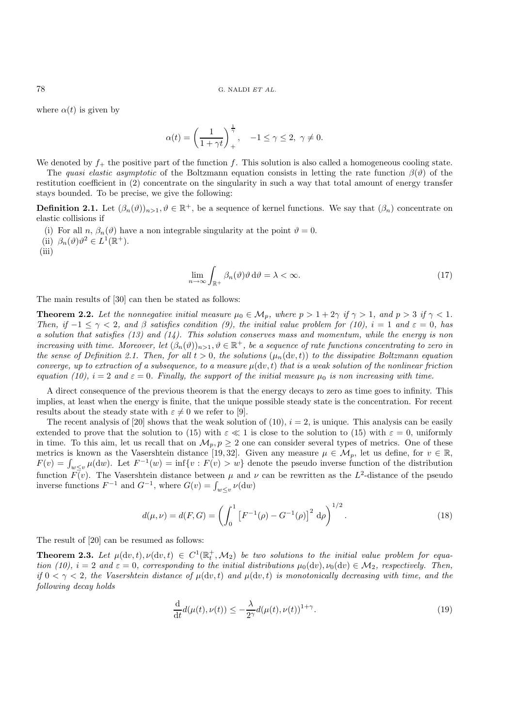where  $\alpha(t)$  is given by

$$
\alpha(t) = \left(\frac{1}{1+\gamma t}\right)_+^{\frac{1}{\gamma}}, \quad -1 \le \gamma \le 2, \ \gamma \ne 0.
$$

We denoted by  $f_{+}$  the positive part of the function f. This solution is also called a homogeneous cooling state.

The *quasi elastic asymptotic* of the Boltzmann equation consists in letting the rate function  $\beta(\vartheta)$  of the restitution coefficient in (2) concentrate on the singularity in such a way that total amount of energy transfer stays bounded. To be precise, we give the following:

**Definition 2.1.** Let  $(\beta_n(\vartheta))_{n>1}, \vartheta \in \mathbb{R}^+$ , be a sequence of kernel functions. We say that  $(\beta_n)$  concentrate on elastic collisions if

- (i) For all n,  $\beta_n(\vartheta)$  have a non integrable singularity at the point  $\vartheta = 0$ .
- (ii)  $\beta_n(\vartheta)\vartheta^2 \in L^1(\mathbb{R}^+).$
- (iii)

$$
\lim_{n \to \infty} \int_{\mathbb{R}^+} \beta_n(\vartheta) \vartheta \, d\vartheta = \lambda < \infty. \tag{17}
$$

The main results of [30] can then be stated as follows:

**Theorem 2.2.** Let the nonnegative initial measure  $\mu_0 \in M_p$ , where  $p > 1 + 2\gamma$  if  $\gamma > 1$ , and  $p > 3$  if  $\gamma < 1$ . *Then, if*  $-1 \leq \gamma < 2$ *, and*  $\beta$  *satisfies condition (9), the initial value problem for (10), i = 1 and*  $\varepsilon = 0$ *, has a solution that satisfies (13) and (14). This solution conserves mass and momentum, while the energy is non increasing with time. Moreover, let*  $(\beta_n(\vartheta))_{n>1}, \vartheta \in \mathbb{R}^+$ , *be a sequence of rate functions concentrating to zero in the sense of Definition 2.1. Then, for all*  $t > 0$ *, the solutions*  $(\mu_n(\text{d}v, t))$  *to the dissipative Boltzmann equation converge, up to extraction of a subsequence, to a measure*  $\mu(\mathrm{d}v, t)$  *that is a weak solution of the nonlinear friction equation (10),*  $i = 2$  *and*  $\varepsilon = 0$ *. Finally, the support of the initial measure*  $\mu_0$  *is non increasing with time.* 

A direct consequence of the previous theorem is that the energy decays to zero as time goes to infinity. This implies, at least when the energy is finite, that the unique possible steady state is the concentration. For recent results about the steady state with  $\varepsilon \neq 0$  we refer to [9].

The recent analysis of [20] shows that the weak solution of (10),  $i = 2$ , is unique. This analysis can be easily extended to prove that the solution to (15) with  $\varepsilon \ll 1$  is close to the solution to (15) with  $\varepsilon = 0$ , uniformly in time. To this aim, let us recall that on  $\mathcal{M}_p$ ,  $p \geq 2$  one can consider several types of metrics. One of these metrics is known as the Vasershtein distance [19,32]. Given any measure  $\mu \in M_p$ , let us define, for  $v \in \mathbb{R}$ ,  $F(v) = \int_{w \leq v} \mu(dw)$ . Let  $F^{-1}(w) = \inf\{v : F(v) > w\}$  denote the pseudo inverse function of the distribution function  $\overline{F}(v)$ . The Vasershtein distance between  $\mu$  and  $\nu$  can be rewritten as the  $L^2$ -distance of the pseudo inverse functions  $F^{-1}$  and  $G^{-1}$ , where  $G(v) = \int_{w \le v} \nu(dw)$ 

$$
d(\mu, \nu) = d(F, G) = \left(\int_0^1 \left[F^{-1}(\rho) - G^{-1}(\rho)\right]^2 d\rho\right)^{1/2}.
$$
 (18)

The result of [20] can be resumed as follows:

**Theorem 2.3.** Let  $\mu(\mathrm{d}v, t), \nu(\mathrm{d}v, t) \in C^1(\mathbb{R}^+_t, \mathcal{M}_2)$  be two solutions to the initial value problem for equa*tion (10),*  $i = 2$  *and*  $\varepsilon = 0$ *, corresponding to the initial distributions*  $\mu_0(\mathrm{d}v), \nu_0(\mathrm{d}v) \in M_2$ *, respectively. Then, if*  $0 < \gamma < 2$ , the Vasershtein distance of  $\mu(\mathrm{d}v, t)$  and  $\mu(\mathrm{d}v, t)$  is monotonically decreasing with time, and the *following decay holds*

$$
\frac{\mathrm{d}}{\mathrm{d}t}d(\mu(t), \nu(t)) \le -\frac{\lambda}{2\gamma}d(\mu(t), \nu(t))^{1+\gamma}.\tag{19}
$$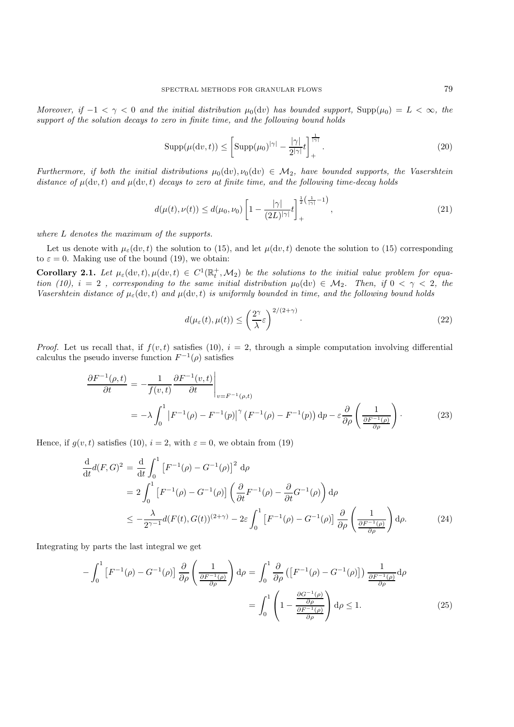*Moreover, if*  $-1 < \gamma < 0$  *and the initial distribution*  $\mu_0(\mathrm{d}v)$  *has bounded support,* Supp $(\mu_0) = L < \infty$ *, the support of the solution decays to zero in finite time, and the following bound holds*

$$
\operatorname{Supp}(\mu(\mathrm{d}v,t)) \le \left[ \operatorname{Supp}(\mu_0)^{|\gamma|} - \frac{|\gamma|}{2^{|\gamma|}} t \right]_+^{\frac{1}{|\gamma|}}.\tag{20}
$$

*Furthermore, if both the initial distributions*  $\mu_0(\mathrm{d}v)$ ,  $\nu_0(\mathrm{d}v) \in \mathcal{M}_2$ , have bounded supports, the Vasershtein *distance of*  $\mu(\mathrm{d}v, t)$  *and*  $\mu(\mathrm{d}v, t)$  *decays to zero at finite time, and the following time-decay holds* 

$$
d(\mu(t), \nu(t)) \le d(\mu_0, \nu_0) \left[ 1 - \frac{|\gamma|}{(2L)^{|\gamma|}} t \right]_+^{\frac{1}{2}(\frac{1}{|\gamma|} - 1)}, \tag{21}
$$

*where* L *denotes the maximum of the supports.*

Let us denote with  $\mu_{\epsilon}(dv, t)$  the solution to (15), and let  $\mu(dv, t)$  denote the solution to (15) corresponding to  $\varepsilon = 0$ . Making use of the bound (19), we obtain:

**Corollary 2.1.** Let  $\mu_{\varepsilon}(\mathrm{d}v, t), \mu(\mathrm{d}v, t) \in C^{1}(\mathbb{R}_{t}^{+}, \mathcal{M}_{2})$  be the solutions to the initial value problem for equa*tion (10),*  $i = 2$ , corresponding to the same initial distribution  $\mu_0(\mathrm{d}v) \in M_2$ . Then, if  $0 < \gamma < 2$ , the *Vasershtein distance of*  $\mu_{\varepsilon}$ (dv, t) *and*  $\mu$ (dv, t) *is uniformly bounded in time, and the following bound holds* 

$$
d(\mu_{\varepsilon}(t), \mu(t)) \le \left(\frac{2^{\gamma}}{\lambda} \varepsilon\right)^{2/(2+\gamma)}.
$$
\n(22)

*Proof.* Let us recall that, if  $f(v, t)$  satisfies (10),  $i = 2$ , through a simple computation involving differential calculus the pseudo inverse function  $F^{-1}(\rho)$  satisfies

$$
\frac{\partial F^{-1}(\rho,t)}{\partial t} = -\frac{1}{f(v,t)} \frac{\partial F^{-1}(v,t)}{\partial t} \Big|_{v=F^{-1}(\rho,t)}
$$
\n
$$
= -\lambda \int_0^1 \left| F^{-1}(\rho) - F^{-1}(p) \right|^\gamma \left( F^{-1}(\rho) - F^{-1}(p) \right) dp - \varepsilon \frac{\partial}{\partial \rho} \left( \frac{1}{\frac{\partial F^{-1}(\rho)}{\partial \rho}} \right). \tag{23}
$$

Hence, if  $q(v, t)$  satisfies (10),  $i = 2$ , with  $\varepsilon = 0$ , we obtain from (19)

$$
\frac{d}{dt}d(F,G)^2 = \frac{d}{dt}\int_0^1 \left[F^{-1}(\rho) - G^{-1}(\rho)\right]^2 d\rho
$$
\n
$$
= 2\int_0^1 \left[F^{-1}(\rho) - G^{-1}(\rho)\right] \left(\frac{\partial}{\partial t}F^{-1}(\rho) - \frac{\partial}{\partial t}G^{-1}(\rho)\right) d\rho
$$
\n
$$
\leq -\frac{\lambda}{2^{\gamma-1}}d(F(t), G(t))^{(2+\gamma)} - 2\varepsilon \int_0^1 \left[F^{-1}(\rho) - G^{-1}(\rho)\right] \frac{\partial}{\partial \rho} \left(\frac{1}{\frac{\partial F^{-1}(\rho)}{\partial \rho}}\right) d\rho. \tag{24}
$$

Integrating by parts the last integral we get

$$
-\int_0^1 \left[ F^{-1}(\rho) - G^{-1}(\rho) \right] \frac{\partial}{\partial \rho} \left( \frac{1}{\frac{\partial F^{-1}(\rho)}{\partial \rho}} \right) d\rho = \int_0^1 \frac{\partial}{\partial \rho} \left( \left[ F^{-1}(\rho) - G^{-1}(\rho) \right] \right) \frac{1}{\frac{\partial F^{-1}(\rho)}{\partial \rho}} d\rho
$$

$$
= \int_0^1 \left( 1 - \frac{\frac{\partial G^{-1}(\rho)}{\partial \rho}}{\frac{\partial F^{-1}(\rho)}{\partial \rho}} \right) d\rho \le 1.
$$
 (25)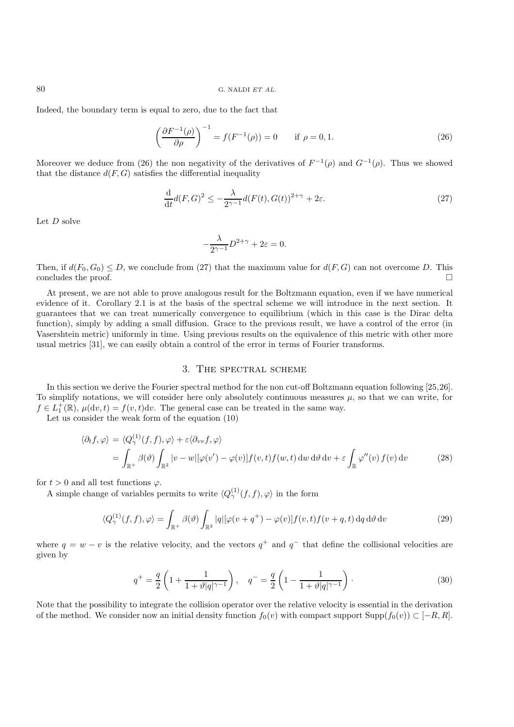Indeed, the boundary term is equal to zero, due to the fact that

$$
\left(\frac{\partial F^{-1}(\rho)}{\partial \rho}\right)^{-1} = f(F^{-1}(\rho)) = 0 \quad \text{if } \rho = 0, 1.
$$
 (26)

Moreover we deduce from (26) the non negativity of the derivatives of  $F^{-1}(\rho)$  and  $G^{-1}(\rho)$ . Thus we showed that the distance  $d(F, G)$  satisfies the differential inequality

$$
\frac{\mathrm{d}}{\mathrm{d}t}d(F,G)^2 \le -\frac{\lambda}{2^{\gamma-1}}d(F(t),G(t))^{2+\gamma} + 2\varepsilon. \tag{27}
$$

Let  $D$  solve

$$
-\frac{\lambda}{2^{\gamma-1}}D^{2+\gamma} + 2\varepsilon = 0.
$$

Then, if  $d(F_0, G_0) \leq D$ , we conclude from (27) that the maximum value for  $d(F, G)$  can not overcome D. This concludes the proof.  $\Box$ 

At present, we are not able to prove analogous result for the Boltzmann equation, even if we have numerical evidence of it. Corollary 2.1 is at the basis of the spectral scheme we will introduce in the next section. It guarantees that we can treat numerically convergence to equilibrium (which in this case is the Dirac delta function), simply by adding a small diffusion. Grace to the previous result, we have a control of the error (in Vasershtein metric) uniformly in time. Using previous results on the equivalence of this metric with other more usual metrics [31], we can easily obtain a control of the error in terms of Fourier transforms.

#### 3. The spectral scheme

In this section we derive the Fourier spectral method for the non cut-off Boltzmann equation following [25,26]. To simplify notations, we will consider here only absolutely continuous measures  $\mu$ , so that we can write, for  $f \in L_1^+(\mathbb{R})$ ,  $\mu(\mathrm{d}v, t) = f(v, t) \mathrm{d}v$ . The general case can be treated in the same way.

Let us consider the weak form of the equation (10)

$$
\langle \partial_t f, \varphi \rangle = \langle Q^{(1)}_{\gamma}(f, f), \varphi \rangle + \varepsilon \langle \partial_{vv} f, \varphi \rangle
$$
  
= 
$$
\int_{\mathbb{R}^+} \beta(\vartheta) \int_{\mathbb{R}^2} |v - w| [\varphi(v') - \varphi(v)] f(v, t) f(w, t) \, dw \, d\vartheta \, dv + \varepsilon \int_{\mathbb{R}} \varphi''(v) f(v) \, dv
$$
 (28)

for  $t > 0$  and all test functions  $\varphi$ .

A simple change of variables permits to write  $\langle Q_{\gamma}^{(1)}(f,f), \varphi \rangle$  in the form

$$
\langle Q_{\gamma}^{(1)}(f,f),\varphi\rangle = \int_{\mathbb{R}^{+}} \beta(\vartheta) \int_{\mathbb{R}^{2}} |q| [\varphi(v+q^{+}) - \varphi(v)] f(v,t) f(v+q,t) \,dq \,d\vartheta \,dv \tag{29}
$$

where  $q = w - v$  is the relative velocity, and the vectors  $q^+$  and  $q^-$  that define the collisional velocities are given by

$$
q^{+} = \frac{q}{2} \left( 1 + \frac{1}{1 + \vartheta |q|^{\gamma - 1}} \right), \quad q^{-} = \frac{q}{2} \left( 1 - \frac{1}{1 + \vartheta |q|^{\gamma - 1}} \right).
$$
 (30)

Note that the possibility to integrate the collision operator over the relative velocity is essential in the derivation of the method. We consider now an initial density function  $f_0(v)$  with compact support Supp $(f_0(v)) \subset [-R, R]$ .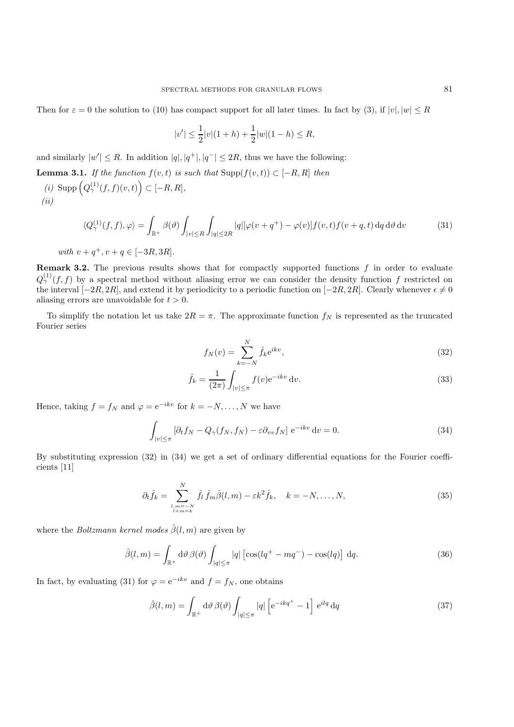Then for  $\varepsilon = 0$  the solution to (10) has compact support for all later times. In fact by (3), if  $|v|, |w| \le R$ 

$$
|v'| \le \frac{1}{2}|v|(1+h) + \frac{1}{2}|w|(1-h) \le R,
$$

and similarly  $|w'| \leq R$ . In addition  $|q|, |q^+|, |q^-| \leq 2R$ , thus we have the following:

- **Lemma 3.1.** *If the function*  $f(v,t)$  *is such that*  $\text{Supp}(f(v,t)) \subset [-R, R]$  *then*
- $(i)$  Supp  $(Q_\gamma^{(1)}(f,f)(v,t)) \subset [-R,R],$ *(ii)*

$$
\langle Q_{\gamma}^{(1)}(f,f),\varphi\rangle = \int_{\mathbb{R}^{+}} \beta(\vartheta) \int_{|v| \leq R} \int_{|q| \leq 2R} |q| [\varphi(v+q^{+}) - \varphi(v)] f(v,t) f(v+q,t) \, \mathrm{d}q \, \mathrm{d}\vartheta \, \mathrm{d}v \tag{31}
$$

with 
$$
v + q^+, v + q \in [-3R, 3R]
$$
.

**Remark 3.2.** The previous results shows that for compactly supported functions  $f$  in order to evaluate  $Q_{\gamma}^{(1)}(f,f)$  by a spectral method without aliasing error we can consider the density function f restricted on the interval  $[-2R, 2R]$ , and extend it by periodicity to a periodic function on  $[-2R, 2R]$ . Clearly whenever  $\epsilon \neq 0$ aliasing errors are unavoidable for  $t > 0$ .

To simplify the notation let us take  $2R = \pi$ . The approximate function  $f_N$  is represented as the truncated Fourier series

$$
f_N(v) = \sum_{k=-N}^{N} \hat{f}_k e^{ikv},
$$
\n(32)

$$
\hat{f}_k = \frac{1}{(2\pi)} \int_{|v| \le \pi} f(v) e^{-ikv} dv.
$$
\n(33)

Hence, taking  $f = f_N$  and  $\varphi = e^{-ikv}$  for  $k = -N, \ldots, N$  we have

$$
\int_{|v| \le \pi} \left[ \partial_t f_N - Q_\gamma(f_N, f_N) - \varepsilon \partial_{vv} f_N \right] e^{-ikv} dv = 0.
$$
\n(34)

By substituting expression (32) in (34) we get a set of ordinary differential equations for the Fourier coefficients [11]

$$
\partial_t \hat{f}_k = \sum_{\substack{l,m=-N\\l+m=k}}^N \hat{f}_l \, \hat{f}_m \hat{\beta}(l,m) - \varepsilon k^2 \hat{f}_k, \quad k = -N, \dots, N,\tag{35}
$$

where the *Boltzmann kernel modes*  $\hat{\beta}(l,m)$  are given by

$$
\hat{\beta}(l,m) = \int_{\mathbb{R}^+} d\vartheta \,\beta(\vartheta) \int_{|q| \le \pi} |q| \left[ \cos(lq^+ - mq^-) - \cos(lq) \right] \,dq. \tag{36}
$$

In fact, by evaluating (31) for  $\varphi = e^{-ikv}$  and  $f = f_N$ , one obtains

$$
\hat{\beta}(l,m) = \int_{\mathbb{R}^+} d\vartheta \,\beta(\vartheta) \int_{|q| \le \pi} |q| \left[ e^{-ikq^+} - 1 \right] e^{ilq} dq \tag{37}
$$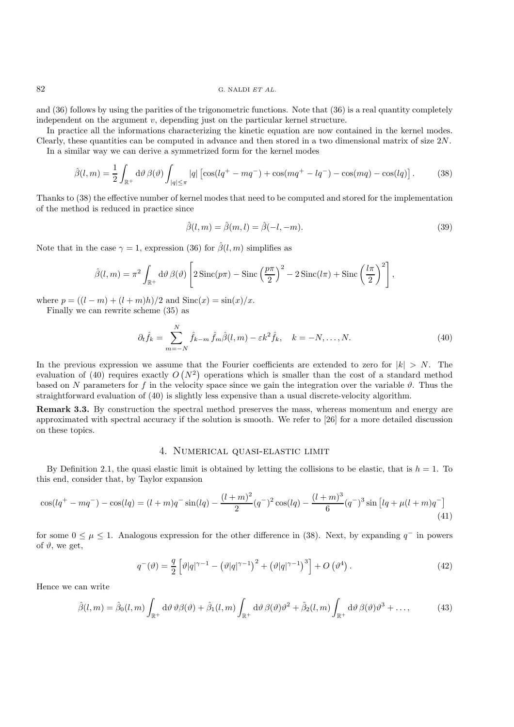and (36) follows by using the parities of the trigonometric functions. Note that (36) is a real quantity completely independent on the argument v, depending just on the particular kernel structure.

In practice all the informations characterizing the kinetic equation are now contained in the kernel modes. Clearly, these quantities can be computed in advance and then stored in a two dimensional matrix of size 2N. In a similar way we can derive a symmetrized form for the kernel modes

$$
\hat{\beta}(l,m) = \frac{1}{2} \int_{\mathbb{R}^+} d\vartheta \, \beta(\vartheta) \int_{|q| \le \pi} |q| \left[ \cos(lq^+ - mq^-) + \cos(mq^+ - lq^-) - \cos(mq) - \cos(lq) \right]. \tag{38}
$$

Thanks to (38) the effective number of kernel modes that need to be computed and stored for the implementation of the method is reduced in practice since

$$
\hat{\beta}(l,m) = \hat{\beta}(m,l) = \hat{\beta}(-l,-m). \tag{39}
$$

Note that in the case  $\gamma = 1$ , expression (36) for  $\hat{\beta}(l,m)$  simplifies as

$$
\hat{\beta}(l,m) = \pi^2 \int_{\mathbb{R}^+} d\vartheta \, \beta(\vartheta) \left[ 2 \operatorname{Sinc}(p\pi) - \operatorname{Sinc}\left(\frac{p\pi}{2}\right)^2 - 2 \operatorname{Sinc}(l\pi) + \operatorname{Sinc}\left(\frac{l\pi}{2}\right)^2 \right],
$$

where  $p = ((l - m) + (l + m)h)/2$  and  $Sinc(x) = sin(x)/x$ .

Finally we can rewrite scheme (35) as

$$
\partial_t \hat{f}_k = \sum_{m=-N}^N \hat{f}_{k-m} \hat{f}_m \hat{\beta}(l,m) - \varepsilon k^2 \hat{f}_k, \quad k = -N, \dots, N. \tag{40}
$$

In the previous expression we assume that the Fourier coefficients are extended to zero for  $|k| > N$ . The evaluation of (40) requires exactly  $O(N^2)$  operations which is smaller than the cost of a standard method based on N parameters for f in the velocity space since we gain the integration over the variable  $\vartheta$ . Thus the straightforward evaluation of (40) is slightly less expensive than a usual discrete-velocity algorithm.

**Remark 3.3.** By construction the spectral method preserves the mass, whereas momentum and energy are approximated with spectral accuracy if the solution is smooth. We refer to [26] for a more detailed discussion on these topics.

## 4. Numerical quasi-elastic limit

By Definition 2.1, the quasi elastic limit is obtained by letting the collisions to be elastic, that is  $h = 1$ . To this end, consider that, by Taylor expansion

$$
\cos(lq^+ - mq^-) - \cos(lq) = (l+m)q^- \sin(lq) - \frac{(l+m)^2}{2}(q^-)^2 \cos(lq) - \frac{(l+m)^3}{6}(q^-)^3 \sin\left[lq + \mu(l+m)q^-\right] \tag{41}
$$

for some  $0 \leq \mu \leq 1$ . Analogous expression for the other difference in (38). Next, by expanding  $q^-$  in powers of  $\vartheta$ , we get,

$$
q^{-}(\vartheta) = \frac{q}{2} \left[ \vartheta |q|^{\gamma - 1} - \left( \vartheta |q|^{\gamma - 1} \right)^2 + \left( \vartheta |q|^{\gamma - 1} \right)^3 \right] + O\left(\vartheta^4\right). \tag{42}
$$

Hence we can write

$$
\hat{\beta}(l,m) = \hat{\beta}_0(l,m) \int_{\mathbb{R}^+} d\vartheta \, \vartheta \beta(\vartheta) + \hat{\beta}_1(l,m) \int_{\mathbb{R}^+} d\vartheta \, \beta(\vartheta) \vartheta^2 + \hat{\beta}_2(l,m) \int_{\mathbb{R}^+} d\vartheta \, \beta(\vartheta) \vartheta^3 + \dots,
$$
\n(43)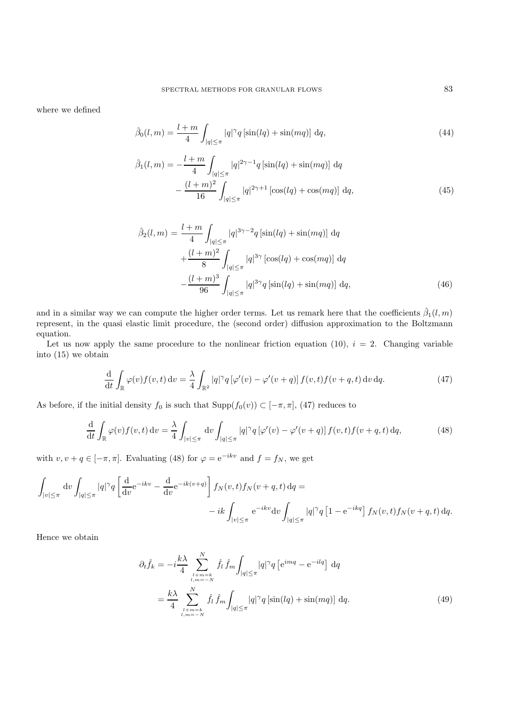where we defined

$$
\hat{\beta}_0(l,m) = \frac{l+m}{4} \int_{|q| \le \pi} |q|^\gamma q \left[ \sin(lq) + \sin(mq) \right] \, dq,\tag{44}
$$

$$
\hat{\beta}_1(l,m) = -\frac{l+m}{4} \int_{|q| \le \pi} |q|^{2\gamma - 1} q \left[ \sin(lq) + \sin(mq) \right] dq \n- \frac{(l+m)^2}{16} \int_{|q| \le \pi} |q|^{2\gamma + 1} \left[ \cos(lq) + \cos(mq) \right] dq,
$$
\n(45)

$$
\hat{\beta}_2(l,m) = \frac{l+m}{4} \int_{|q| \le \pi} |q|^{3\gamma - 2} q \left[ \sin(lq) + \sin(mq) \right] dq
$$

$$
+ \frac{(l+m)^2}{8} \int_{|q| \le \pi} |q|^{3\gamma} \left[ \cos(lq) + \cos(mq) \right] dq
$$

$$
- \frac{(l+m)^3}{96} \int_{|q| \le \pi} |q|^{3\gamma} q \left[ \sin(lq) + \sin(mq) \right] dq,
$$
(46)

and in a similar way we can compute the higher order terms. Let us remark here that the coefficients  $\hat{\beta}_1(l,m)$ represent, in the quasi elastic limit procedure, the (second order) diffusion approximation to the Boltzmann equation.

Let us now apply the same procedure to the nonlinear friction equation (10),  $i = 2$ . Changing variable into (15) we obtain

$$
\frac{\mathrm{d}}{\mathrm{d}t} \int_{\mathbb{R}} \varphi(v) f(v, t) \, \mathrm{d}v = \frac{\lambda}{4} \int_{\mathbb{R}^2} |q|^\gamma q \left[ \varphi'(v) - \varphi'(v+q) \right] f(v, t) f(v+q, t) \, \mathrm{d}v \, \mathrm{d}q. \tag{47}
$$

As before, if the initial density  $f_0$  is such that  $\text{Supp}(f_0(v)) \subset [-\pi, \pi]$ , (47) reduces to

$$
\frac{\mathrm{d}}{\mathrm{d}t} \int_{\mathbb{R}} \varphi(v) f(v, t) \, \mathrm{d}v = \frac{\lambda}{4} \int_{|v| \le \pi} \mathrm{d}v \int_{|q| \le \pi} |q|^\gamma q \left[ \varphi'(v) - \varphi'(v+q) \right] f(v, t) f(v+q, t) \, \mathrm{d}q,\tag{48}
$$

with  $v, v + q \in [-\pi, \pi]$ . Evaluating (48) for  $\varphi = e^{-ikv}$  and  $f = f_N$ , we get

$$
\int_{|v| \le \pi} dv \int_{|q| \le \pi} |q|^\gamma q \left[ \frac{d}{dv} e^{-ikv} - \frac{d}{dv} e^{-ik(v+q)} \right] f_N(v,t) f_N(v+q,t) dq =
$$
  

$$
-ik \int_{|v| \le \pi} e^{-ikv} dv \int_{|q| \le \pi} |q|^\gamma q \left[ 1 - e^{-ikq} \right] f_N(v,t) f_N(v+q,t) dq.
$$

Hence we obtain

$$
\partial_t \hat{f}_k = -i \frac{k\lambda}{4} \sum_{\substack{l+m=k\\l,m=-N}}^N \hat{f}_l \hat{f}_m \int_{|q| \le \pi} |q|^\gamma q \left[ e^{imq} - e^{-ilq} \right] dq
$$

$$
= \frac{k\lambda}{4} \sum_{\substack{l+m=k\\l,m=-N}}^N \hat{f}_l \hat{f}_m \int_{|q| \le \pi} |q|^\gamma q \left[ \sin(lq) + \sin(mq) \right] dq.
$$
(49)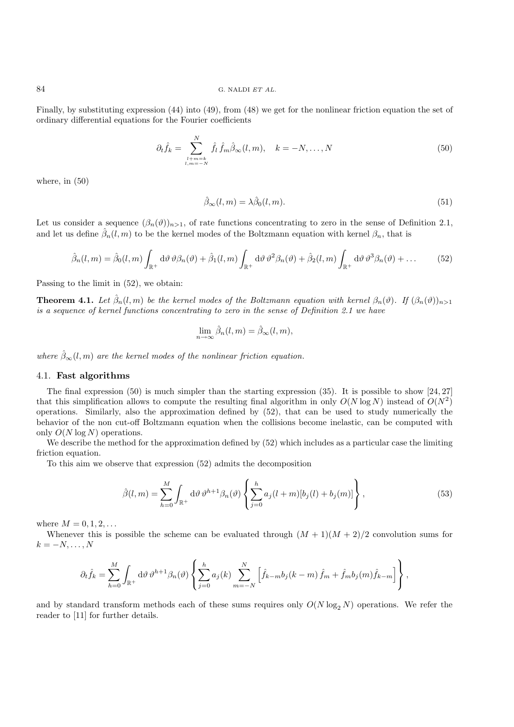Finally, by substituting expression (44) into (49), from (48) we get for the nonlinear friction equation the set of ordinary differential equations for the Fourier coefficients

$$
\partial_t \hat{f}_k = \sum_{\substack{l+m=k\\l,m=-N}}^N \hat{f}_l \hat{f}_m \hat{\beta}_{\infty}(l,m), \quad k = -N, \dots, N \tag{50}
$$

where, in (50)

$$
\hat{\beta}_{\infty}(l,m) = \lambda \hat{\beta}_0(l,m). \tag{51}
$$

Let us consider a sequence  $(\beta_n(\vartheta))_{n>1}$ , of rate functions concentrating to zero in the sense of Definition 2.1, and let us define  $\hat{\beta}_n(l,m)$  to be the kernel modes of the Boltzmann equation with kernel  $\beta_n$ , that is

$$
\hat{\beta}_n(l,m) = \hat{\beta}_0(l,m) \int_{\mathbb{R}^+} d\vartheta \, \vartheta \beta_n(\vartheta) + \hat{\beta}_1(l,m) \int_{\mathbb{R}^+} d\vartheta \, \vartheta^2 \beta_n(\vartheta) + \hat{\beta}_2(l,m) \int_{\mathbb{R}^+} d\vartheta \, \vartheta^3 \beta_n(\vartheta) + \dots \tag{52}
$$

Passing to the limit in (52), we obtain:

**Theorem 4.1.** *Let*  $\hat{\beta}_n(l,m)$  *be the kernel modes of the Boltzmann equation with kernel*  $\beta_n(\vartheta)$ . If  $(\beta_n(\vartheta))_{n>1}$ *is a sequence of kernel functions concentrating to zero in the sense of Definition 2.1 we have*

$$
\lim_{n \to \infty} \hat{\beta}_n(l,m) = \hat{\beta}_{\infty}(l,m),
$$

*where*  $\hat{\beta}_{\infty}(l,m)$  *are the kernel modes of the nonlinear friction equation.* 

## 4.1. **Fast algorithms**

The final expression (50) is much simpler than the starting expression (35). It is possible to show [24, 27] that this simplification allows to compute the resulting final algorithm in only  $O(N \log N)$  instead of  $O(N^2)$ operations. Similarly, also the approximation defined by (52), that can be used to study numerically the behavior of the non cut-off Boltzmann equation when the collisions become inelastic, can be computed with only  $O(N \log N)$  operations.

We describe the method for the approximation defined by  $(52)$  which includes as a particular case the limiting friction equation.

To this aim we observe that expression (52) admits the decomposition

$$
\hat{\beta}(l,m) = \sum_{h=0}^{M} \int_{\mathbb{R}^+} d\vartheta \, \vartheta^{h+1} \beta_n(\vartheta) \left\{ \sum_{j=0}^{h} a_j (l+m) [b_j(l) + b_j(m)] \right\},\tag{53}
$$

where  $M = 0, 1, 2, ...$ 

Whenever this is possible the scheme can be evaluated through  $(M + 1)(M + 2)/2$  convolution sums for  $k = -N, \ldots, N$ 

$$
\partial_t \hat{f}_k = \sum_{h=0}^M \int_{\mathbb{R}^+} d\vartheta \, \vartheta^{h+1} \beta_n(\vartheta) \left\{ \sum_{j=0}^h a_j(k) \sum_{m=-N}^N \left[ \hat{f}_{k-m} b_j(k-m) \, \hat{f}_m + \hat{f}_m b_j(m) \hat{f}_{k-m} \right] \right\},
$$

and by standard transform methods each of these sums requires only  $O(N \log_2 N)$  operations. We refer the reader to [11] for further details.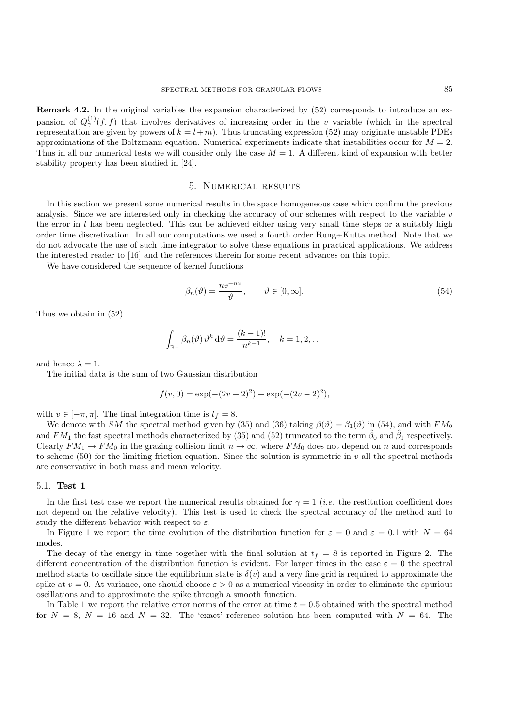**Remark 4.2.** In the original variables the expansion characterized by  $(52)$  corresponds to introduce an expansion of  $Q^{(1)}_{\gamma}(f,f)$  that involves derivatives of increasing order in the v variable (which in the spectral representation are given by powers of  $k = l+m$ ). Thus truncating expression (52) may originate unstable PDEs approximations of the Boltzmann equation. Numerical experiments indicate that instabilities occur for  $M = 2$ . Thus in all our numerical tests we will consider only the case  $M = 1$ . A different kind of expansion with better stability property has been studied in [24].

#### 5. Numerical results

In this section we present some numerical results in the space homogeneous case which confirm the previous analysis. Since we are interested only in checking the accuracy of our schemes with respect to the variable  $v$ the error in  $t$  has been neglected. This can be achieved either using very small time steps or a suitably high order time discretization. In all our computations we used a fourth order Runge-Kutta method. Note that we do not advocate the use of such time integrator to solve these equations in practical applications. We address the interested reader to [16] and the references therein for some recent advances on this topic.

We have considered the sequence of kernel functions

$$
\beta_n(\vartheta) = \frac{ne^{-n\vartheta}}{\vartheta}, \qquad \vartheta \in [0, \infty].
$$
\n(54)

Thus we obtain in (52)

$$
\int_{\mathbb{R}^+} \beta_n(\vartheta) \, \vartheta^k \, \mathrm{d}\vartheta = \frac{(k-1)!}{n^{k-1}}, \quad k = 1, 2, \dots
$$

and hence  $\lambda = 1$ .

The initial data is the sum of two Gaussian distribution

$$
f(v,0) = \exp(-(2v+2)^2) + \exp(-(2v-2)^2),
$$

with  $v \in [-\pi, \pi]$ . The final integration time is  $t_f = 8$ .

We denote with SM the spectral method given by (35) and (36) taking  $\beta(\vartheta) = \beta_1(\vartheta)$  in (54), and with  $FM_0$ and FM<sub>1</sub> the fast spectral methods characterized by (35) and (52) truncated to the term  $\hat{\beta}_0$  and  $\hat{\beta}_1$  respectively. Clearly  $FM_1 \rightarrow FM_0$  in the grazing collision limit  $n \rightarrow \infty$ , where  $FM_0$  does not depend on n and corresponds to scheme (50) for the limiting friction equation. Since the solution is symmetric in  $v$  all the spectral methods are conservative in both mass and mean velocity.

## 5.1. **Test 1**

In the first test case we report the numerical results obtained for  $\gamma = 1$  (*i.e.* the restitution coefficient does not depend on the relative velocity). This test is used to check the spectral accuracy of the method and to study the different behavior with respect to  $\varepsilon$ .

In Figure 1 we report the time evolution of the distribution function for  $\varepsilon = 0$  and  $\varepsilon = 0.1$  with  $N = 64$ modes.

The decay of the energy in time together with the final solution at  $t_f = 8$  is reported in Figure 2. The different concentration of the distribution function is evident. For larger times in the case  $\varepsilon = 0$  the spectral method starts to oscillate since the equilibrium state is  $\delta(v)$  and a very fine grid is required to approximate the spike at  $v = 0$ . At variance, one should choose  $\varepsilon > 0$  as a numerical viscosity in order to eliminate the spurious oscillations and to approximate the spike through a smooth function.

In Table 1 we report the relative error norms of the error at time  $t = 0.5$  obtained with the spectral method for  $N = 8$ ,  $N = 16$  and  $N = 32$ . The 'exact' reference solution has been computed with  $N = 64$ . The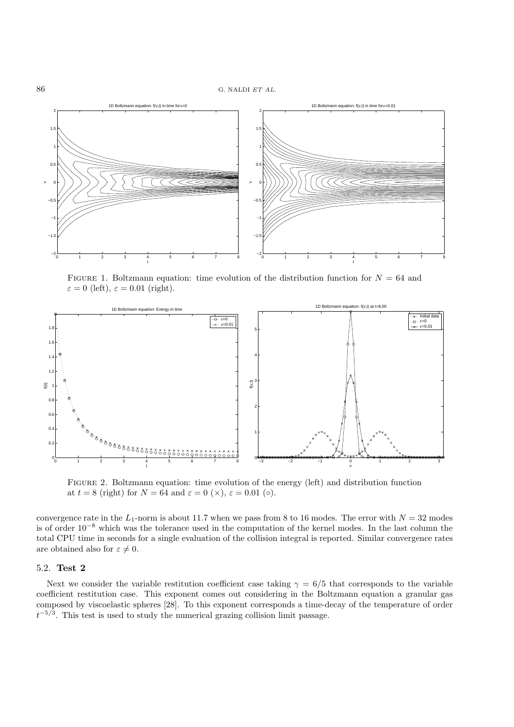

FIGURE 1. Boltzmann equation: time evolution of the distribution function for  $N = 64$  and  $\varepsilon = 0$  (left),  $\varepsilon = 0.01$  (right).



FIGURE 2. Boltzmann equation: time evolution of the energy (left) and distribution function at  $t = 8$  (right) for  $N = 64$  and  $\varepsilon = 0$  ( $\times$ ),  $\varepsilon = 0.01$  ( $\circ$ ).

convergence rate in the  $L_1$ -norm is about 11.7 when we pass from 8 to 16 modes. The error with  $N = 32$  modes is of order 10−<sup>8</sup> which was the tolerance used in the computation of the kernel modes. In the last column the total CPU time in seconds for a single evaluation of the collision integral is reported. Similar convergence rates are obtained also for  $\varepsilon \neq 0$ .

#### 5.2. **Test 2**

Next we consider the variable restitution coefficient case taking  $\gamma = 6/5$  that corresponds to the variable coefficient restitution case. This exponent comes out considering in the Boltzmann equation a granular gas composed by viscoelastic spheres [28]. To this exponent corresponds a time-decay of the temperature of order  $t^{-5/3}$ . This test is used to study the numerical grazing collision limit passage.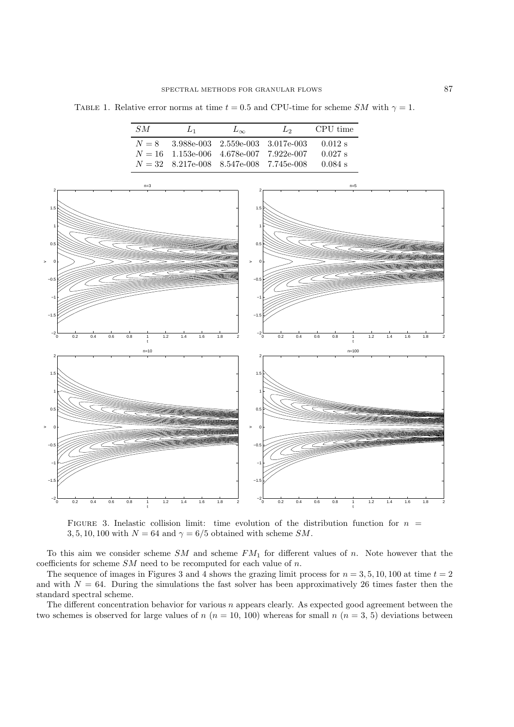TABLE 1. Relative error norms at time  $t = 0.5$  and CPU-time for scheme SM with  $\gamma = 1$ .

| SM | $L_1$                                     | $L_{\infty}$ | $\mathcal{L}_{2}$ | CPU time  |
|----|-------------------------------------------|--------------|-------------------|-----------|
|    | $N = 8$ 3.988e-003 2.559e-003 3.017e-003  |              |                   | $0.012$ s |
|    | $N = 16$ 1.153e-006 4.678e-007 7.922e-007 |              |                   | $0.027$ s |
|    | $N = 32$ 8.217e-008 8.547e-008 7.745e-008 |              |                   | $0.084$ s |



FIGURE 3. Inelastic collision limit: time evolution of the distribution function for  $n =$ 3, 5, 10, 100 with  $N = 64$  and  $\gamma = 6/5$  obtained with scheme SM.

To this aim we consider scheme  $SM$  and scheme  $FM_1$  for different values of n. Note however that the coefficients for scheme  $SM$  need to be recomputed for each value of n.

The sequence of images in Figures 3 and 4 shows the grazing limit process for  $n = 3, 5, 10, 100$  at time  $t = 2$ and with  $N = 64$ . During the simulations the fast solver has been approximatively 26 times faster then the standard spectral scheme.

The different concentration behavior for various  $n$  appears clearly. As expected good agreement between the two schemes is observed for large values of  $n (n = 10, 100)$  whereas for small  $n (n = 3, 5)$  deviations between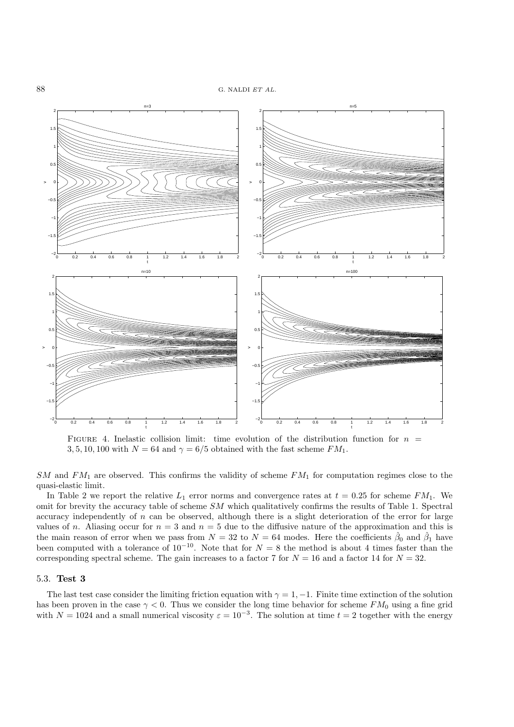

FIGURE 4. Inelastic collision limit: time evolution of the distribution function for  $n =$ 3, 5, 10, 100 with  $N = 64$  and  $\gamma = 6/5$  obtained with the fast scheme  $FM_1$ .

 $SM$  and  $FM<sub>1</sub>$  are observed. This confirms the validity of scheme  $FM<sub>1</sub>$  for computation regimes close to the quasi-elastic limit.

In Table 2 we report the relative  $L_1$  error norms and convergence rates at  $t = 0.25$  for scheme  $FM_1$ . We omit for brevity the accuracy table of scheme SM which qualitatively confirms the results of Table 1. Spectral accuracy independently of  $n$  can be observed, although there is a slight deterioration of the error for large values of n. Aliasing occur for  $n = 3$  and  $n = 5$  due to the diffusive nature of the approximation and this is the main reason of error when we pass from  $N = 32$  to  $N = 64$  modes. Here the coefficients  $\hat{\beta}_0$  and  $\hat{\beta}_1$  have been computed with a tolerance of  $10^{-10}$ . Note that for  $N = 8$  the method is about 4 times faster than the corresponding spectral scheme. The gain increases to a factor 7 for  $N = 16$  and a factor 14 for  $N = 32$ .

#### 5.3. **Test 3**

The last test case consider the limiting friction equation with  $\gamma = 1, -1$ . Finite time extinction of the solution has been proven in the case  $\gamma < 0$ . Thus we consider the long time behavior for scheme FM<sub>0</sub> using a fine grid with  $N = 1024$  and a small numerical viscosity  $\varepsilon = 10^{-3}$ . The solution at time  $t = 2$  together with the energy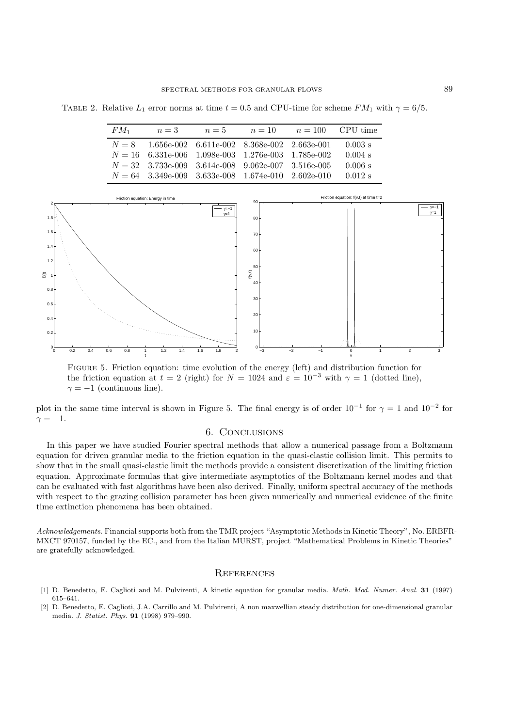TABLE 2. Relative  $L_1$  error norms at time  $t = 0.5$  and CPU-time for scheme  $FM_1$  with  $\gamma = 6/5$ .

| $FM_1$ | $n=3$                                                | $n=5$ | $n = 10$ $n = 100$ CPU time |            |
|--------|------------------------------------------------------|-------|-----------------------------|------------|
|        | $N = 8$ 1.656e-002 6.611e-002 8.368e-002 2.663e-001  |       |                             | $-0.003$ s |
|        | $N = 16$ 6.331e-006 1.098e-003 1.276e-003 1.785e-002 |       |                             | $0.004$ s  |
|        | $N = 32$ 3.733e-009 3.614e-008 9.062e-007 3.516e-005 |       |                             | 0.006 s    |
|        | $N = 64$ 3.349e-009 3.633e-008 1.674e-010 2.602e-010 |       |                             | $0.012$ s  |



Figure 5. Friction equation: time evolution of the energy (left) and distribution function for the friction equation at  $t = 2$  (right) for  $N = 1024$  and  $\varepsilon = 10^{-3}$  with  $\gamma = 1$  (dotted line),  $\gamma = -1$  (continuous line).

plot in the same time interval is shown in Figure 5. The final energy is of order  $10^{-1}$  for  $\gamma = 1$  and  $10^{-2}$  for  $\gamma = -1.$ 

## 6. Conclusions

In this paper we have studied Fourier spectral methods that allow a numerical passage from a Boltzmann equation for driven granular media to the friction equation in the quasi-elastic collision limit. This permits to show that in the small quasi-elastic limit the methods provide a consistent discretization of the limiting friction equation. Approximate formulas that give intermediate asymptotics of the Boltzmann kernel modes and that can be evaluated with fast algorithms have been also derived. Finally, uniform spectral accuracy of the methods with respect to the grazing collision parameter has been given numerically and numerical evidence of the finite time extinction phenomena has been obtained.

*Acknowledgements*. Financial supports both from the TMR project "Asymptotic Methods in Kinetic Theory", No. ERBFR-MXCT 970157, funded by the EC., and from the Italian MURST, project "Mathematical Problems in Kinetic Theories" are gratefully acknowledged.

## **REFERENCES**

- [1] D. Benedetto, E. Caglioti and M. Pulvirenti, A kinetic equation for granular media. *Math. Mod. Numer. Anal.* **31** (1997) 615–641.
- [2] D. Benedetto, E. Caglioti, J.A. Carrillo and M. Pulvirenti, A non maxwellian steady distribution for one-dimensional granular media. *J. Statist. Phys.* **91** (1998) 979–990.